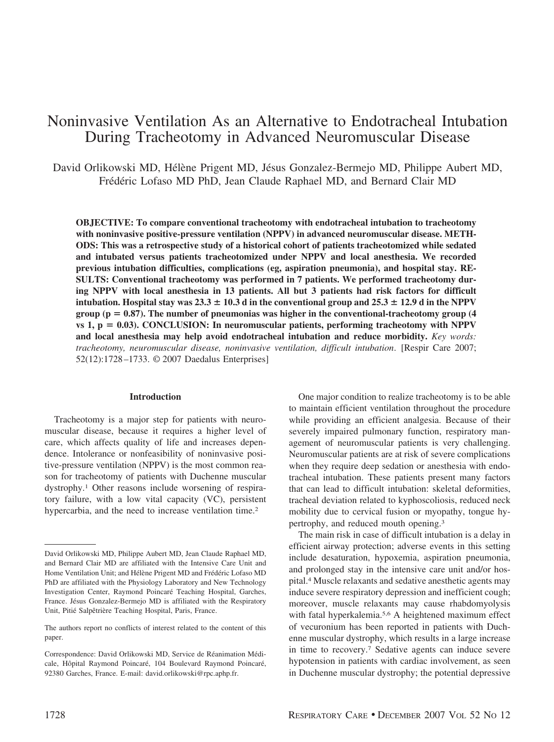# Noninvasive Ventilation As an Alternative to Endotracheal Intubation During Tracheotomy in Advanced Neuromuscular Disease

David Orlikowski MD, Hélène Prigent MD, Jésus Gonzalez-Bermejo MD, Philippe Aubert MD, Frédéric Lofaso MD PhD, Jean Claude Raphael MD, and Bernard Clair MD

**OBJECTIVE: To compare conventional tracheotomy with endotracheal intubation to tracheotomy with noninvasive positive-pressure ventilation (NPPV) in advanced neuromuscular disease. METH-ODS: This was a retrospective study of a historical cohort of patients tracheotomized while sedated and intubated versus patients tracheotomized under NPPV and local anesthesia. We recorded previous intubation difficulties, complications (eg, aspiration pneumonia), and hospital stay. RE-SULTS: Conventional tracheotomy was performed in 7 patients. We performed tracheotomy during NPPV with local anesthesia in 13 patients. All but 3 patients had risk factors for difficult intubation. Hospital stay was**  $23.3 \pm 10.3$  **d in the conventional group and**  $25.3 \pm 12.9$  **d in the NPPV**  $group (p = 0.87)$ . The number of pneumonias was higher in the conventional-tracheotomy group  $(4)$  $\nu$  vs 1,  $p = 0.03$ ). CONCLUSION: In neuromuscular patients, performing tracheotomy with NPPV **and local anesthesia may help avoid endotracheal intubation and reduce morbidity.** *Key words: tracheotomy, neuromuscular disease, noninvasive ventilation, difficult intubation*. [Respir Care 2007; 52(12):1728 –1733. © 2007 Daedalus Enterprises]

#### **Introduction**

Tracheotomy is a major step for patients with neuromuscular disease, because it requires a higher level of care, which affects quality of life and increases dependence. Intolerance or nonfeasibility of noninvasive positive-pressure ventilation (NPPV) is the most common reason for tracheotomy of patients with Duchenne muscular dystrophy.1 Other reasons include worsening of respiratory failure, with a low vital capacity (VC), persistent hypercarbia, and the need to increase ventilation time.<sup>2</sup>

One major condition to realize tracheotomy is to be able to maintain efficient ventilation throughout the procedure while providing an efficient analgesia. Because of their severely impaired pulmonary function, respiratory management of neuromuscular patients is very challenging. Neuromuscular patients are at risk of severe complications when they require deep sedation or anesthesia with endotracheal intubation. These patients present many factors that can lead to difficult intubation: skeletal deformities, tracheal deviation related to kyphoscoliosis, reduced neck mobility due to cervical fusion or myopathy, tongue hypertrophy, and reduced mouth opening.3

The main risk in case of difficult intubation is a delay in efficient airway protection; adverse events in this setting include desaturation, hypoxemia, aspiration pneumonia, and prolonged stay in the intensive care unit and/or hospital.4 Muscle relaxants and sedative anesthetic agents may induce severe respiratory depression and inefficient cough; moreover, muscle relaxants may cause rhabdomyolysis with fatal hyperkalemia.<sup>5,6</sup> A heightened maximum effect of vecuronium has been reported in patients with Duchenne muscular dystrophy, which results in a large increase in time to recovery.7 Sedative agents can induce severe hypotension in patients with cardiac involvement, as seen in Duchenne muscular dystrophy; the potential depressive

David Orlikowski MD, Philippe Aubert MD, Jean Claude Raphael MD, and Bernard Clair MD are affiliated with the Intensive Care Unit and Home Ventilation Unit; and Hélène Prigent MD and Frédéric Lofaso MD PhD are affiliated with the Physiology Laboratory and New Technology Investigation Center, Raymond Poincaré Teaching Hospital, Garches, France. Jésus Gonzalez-Bermejo MD is affiliated with the Respiratory Unit, Pitié Salpêtrière Teaching Hospital, Paris, France.

The authors report no conflicts of interest related to the content of this paper.

Correspondence: David Orlikowski MD, Service de Réanimation Médicale, Hôpital Raymond Poincaré, 104 Boulevard Raymond Poincaré, 92380 Garches, France. E-mail: david.orlikowski@rpc.aphp.fr.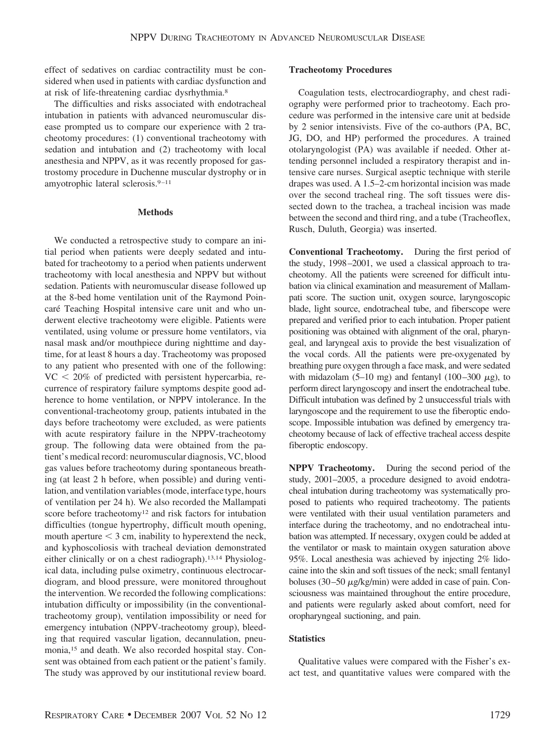effect of sedatives on cardiac contractility must be considered when used in patients with cardiac dysfunction and at risk of life-threatening cardiac dysrhythmia.8

The difficulties and risks associated with endotracheal intubation in patients with advanced neuromuscular disease prompted us to compare our experience with 2 tracheotomy procedures: (1) conventional tracheotomy with sedation and intubation and (2) tracheotomy with local anesthesia and NPPV, as it was recently proposed for gastrostomy procedure in Duchenne muscular dystrophy or in amyotrophic lateral sclerosis.<sup>9-11</sup>

## **Methods**

We conducted a retrospective study to compare an initial period when patients were deeply sedated and intubated for tracheotomy to a period when patients underwent tracheotomy with local anesthesia and NPPV but without sedation. Patients with neuromuscular disease followed up at the 8-bed home ventilation unit of the Raymond Poincaré Teaching Hospital intensive care unit and who underwent elective tracheotomy were eligible. Patients were ventilated, using volume or pressure home ventilators, via nasal mask and/or mouthpiece during nighttime and daytime, for at least 8 hours a day. Tracheotomy was proposed to any patient who presented with one of the following:  $VC < 20\%$  of predicted with persistent hypercarbia, recurrence of respiratory failure symptoms despite good adherence to home ventilation, or NPPV intolerance. In the conventional-tracheotomy group, patients intubated in the days before tracheotomy were excluded, as were patients with acute respiratory failure in the NPPV-tracheotomy group. The following data were obtained from the patient's medical record: neuromuscular diagnosis, VC, blood gas values before tracheotomy during spontaneous breathing (at least 2 h before, when possible) and during ventilation, and ventilation variables (mode, interface type, hours of ventilation per 24 h). We also recorded the Mallampati score before tracheotomy<sup>12</sup> and risk factors for intubation difficulties (tongue hypertrophy, difficult mouth opening, mouth aperture  $<$  3 cm, inability to hyperextend the neck, and kyphoscoliosis with tracheal deviation demonstrated either clinically or on a chest radiograph).<sup>13,14</sup> Physiological data, including pulse oximetry, continuous electrocardiogram, and blood pressure, were monitored throughout the intervention. We recorded the following complications: intubation difficulty or impossibility (in the conventionaltracheotomy group), ventilation impossibility or need for emergency intubation (NPPV-tracheotomy group), bleeding that required vascular ligation, decannulation, pneumonia,15 and death. We also recorded hospital stay. Consent was obtained from each patient or the patient's family. The study was approved by our institutional review board.

# **Tracheotomy Procedures**

Coagulation tests, electrocardiography, and chest radiography were performed prior to tracheotomy. Each procedure was performed in the intensive care unit at bedside by 2 senior intensivists. Five of the co-authors (PA, BC, JG, DO, and HP) performed the procedures. A trained otolaryngologist (PA) was available if needed. Other attending personnel included a respiratory therapist and intensive care nurses. Surgical aseptic technique with sterile drapes was used. A 1.5–2-cm horizontal incision was made over the second tracheal ring. The soft tissues were dissected down to the trachea, a tracheal incision was made between the second and third ring, and a tube (Tracheoflex, Rusch, Duluth, Georgia) was inserted.

**Conventional Tracheotomy.** During the first period of the study, 1998 –2001, we used a classical approach to tracheotomy. All the patients were screened for difficult intubation via clinical examination and measurement of Mallampati score. The suction unit, oxygen source, laryngoscopic blade, light source, endotracheal tube, and fiberscope were prepared and verified prior to each intubation. Proper patient positioning was obtained with alignment of the oral, pharyngeal, and laryngeal axis to provide the best visualization of the vocal cords. All the patients were pre-oxygenated by breathing pure oxygen through a face mask, and were sedated with midazolam (5–10 mg) and fentanyl (100–300  $\mu$ g), to perform direct laryngoscopy and insert the endotracheal tube. Difficult intubation was defined by 2 unsuccessful trials with laryngoscope and the requirement to use the fiberoptic endoscope. Impossible intubation was defined by emergency tracheotomy because of lack of effective tracheal access despite fiberoptic endoscopy.

**NPPV Tracheotomy.** During the second period of the study, 2001–2005, a procedure designed to avoid endotracheal intubation during tracheotomy was systematically proposed to patients who required tracheotomy. The patients were ventilated with their usual ventilation parameters and interface during the tracheotomy, and no endotracheal intubation was attempted. If necessary, oxygen could be added at the ventilator or mask to maintain oxygen saturation above 95%. Local anesthesia was achieved by injecting 2% lidocaine into the skin and soft tissues of the neck; small fentanyl boluses (30–50  $\mu$ g/kg/min) were added in case of pain. Consciousness was maintained throughout the entire procedure, and patients were regularly asked about comfort, need for oropharyngeal suctioning, and pain.

# **Statistics**

Qualitative values were compared with the Fisher's exact test, and quantitative values were compared with the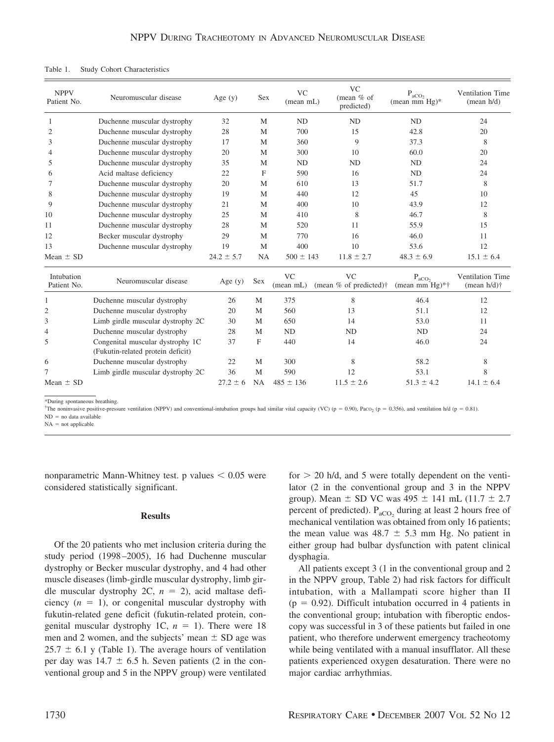| <b>NPPV</b><br>Patient No. | Neuromuscular disease                                                 | Age $(y)$      | <b>Sex</b>   | <b>VC</b><br>(mean mL) | <b>VC</b><br>(mean % of<br>predicted)                | $P_{aCO_2}$<br>(mean mm $Hg$ )*         | Ventilation Time<br>(mean h/d)              |
|----------------------------|-----------------------------------------------------------------------|----------------|--------------|------------------------|------------------------------------------------------|-----------------------------------------|---------------------------------------------|
| 1                          | Duchenne muscular dystrophy                                           | 32             | M            | <b>ND</b>              | ND                                                   | ND                                      | 24                                          |
| $\overline{2}$             | Duchenne muscular dystrophy                                           | 28             | M            | 700                    | 15                                                   | 42.8                                    | 20                                          |
| 3                          | Duchenne muscular dystrophy                                           | 17             | M            | 360                    | 9                                                    | 37.3                                    | 8                                           |
| $\overline{4}$             | Duchenne muscular dystrophy                                           | 20             | M            | 300                    | 10                                                   | 60.0                                    | 20                                          |
| 5                          | Duchenne muscular dystrophy                                           | 35             | M            | <b>ND</b>              | <b>ND</b>                                            | ND                                      | 24                                          |
| 6                          | Acid maltase deficiency                                               | 22             | F            | 590                    | 16                                                   | ND                                      | 24                                          |
| 7                          | Duchenne muscular dystrophy                                           | 20             | M            | 610                    | 13                                                   | 51.7                                    | 8                                           |
| 8                          | Duchenne muscular dystrophy                                           | 19             | M            | 440                    | 12                                                   | 45                                      | 10                                          |
| 9                          | Duchenne muscular dystrophy                                           | 21             | M            | 400                    | 10                                                   | 43.9                                    | 12                                          |
| 10                         | Duchenne muscular dystrophy                                           | 25             | M            | 410                    | 8                                                    | 46.7                                    | 8                                           |
| 11                         | Duchenne muscular dystrophy                                           | 28             | M            | 520                    | 11                                                   | 55.9                                    | 15                                          |
| 12                         | Becker muscular dystrophy                                             | 29             | M            | 770                    | 16                                                   | 46.0                                    | 11                                          |
| 13                         | Duchenne muscular dystrophy                                           | 19             | M            | 400                    | 10                                                   | 53.6                                    | 12                                          |
| Mean $\pm$ SD              |                                                                       | $24.2 \pm 5.7$ | NA           | $500 \pm 143$          | $11.8 \pm 2.7$                                       | $48.3 \pm 6.9$                          | $15.1 \pm 6.4$                              |
| Intubation<br>Patient No.  | Neuromuscular disease                                                 | Age $(y)$      | Sex          | <b>VC</b><br>(mean mL) | V <sub>C</sub><br>(mean % of predicted) <sup>†</sup> | $P_{\text{aCO}_2}$<br>(mean mm $Hg$ )*† | Ventilation Time<br>(mean $h/d$ ) $\dagger$ |
|                            | Duchenne muscular dystrophy                                           | 26             | M            | 375                    | 8                                                    | 46.4                                    | 12                                          |
| $\overline{c}$             | Duchenne muscular dystrophy                                           | 20             | M            | 560                    | 13                                                   | 51.1                                    | 12                                          |
| 3                          | Limb girdle muscular dystrophy 2C                                     | 30             | M            | 650                    | 14                                                   | 53.0                                    | 11                                          |
| 4                          | Duchenne muscular dystrophy                                           | 28             | M            | <b>ND</b>              | <b>ND</b>                                            | ND                                      | 24                                          |
| 5                          | Congenital muscular dystrophy 1C<br>(Fukutin-related protein deficit) | 37             | $\mathbf{F}$ | 440                    | 14                                                   | 46.0                                    | 24                                          |
| 6                          | Duchenne muscular dystrophy                                           | 22             | M            | 300                    | 8                                                    | 58.2                                    | 8                                           |
| 7                          | Limb girdle muscular dystrophy 2C                                     | 36             | M            | 590                    | 12                                                   | 53.1                                    | 8                                           |
| Mean $\pm$ SD              |                                                                       | $27.2 \pm 6$   | <b>NA</b>    | $485 \pm 136$          | $11.5 \pm 2.6$                                       | $51.3 \pm 4.2$                          | $14.1 \pm 6.4$                              |
|                            |                                                                       |                |              |                        |                                                      |                                         |                                             |

| Table 1. |  |  | <b>Study Cohort Characteristics</b> |
|----------|--|--|-------------------------------------|
|----------|--|--|-------------------------------------|

\*During spontaneous breathing.

<sup>†</sup>The noninvasive positive-pressure ventilation (NPPV) and conventional-intubation groups had similar vital capacity (VC) (p = 0.90), Paco<sub>2</sub> (p = 0.356), and ventilation h/d (p = 0.81).

 $ND = no$  data available

 $NA = not applicable$ 

nonparametric Mann-Whitney test. p values  $< 0.05$  were considered statistically significant.

#### **Results**

Of the 20 patients who met inclusion criteria during the study period (1998 –2005), 16 had Duchenne muscular dystrophy or Becker muscular dystrophy, and 4 had other muscle diseases (limb-girdle muscular dystrophy, limb girdle muscular dystrophy  $2C$ ,  $n = 2$ ), acid maltase deficiency  $(n = 1)$ , or congenital muscular dystrophy with fukutin-related gene deficit (fukutin-related protein, congenital muscular dystrophy 1C,  $n = 1$ ). There were 18 men and 2 women, and the subjects' mean  $\pm$  SD age was  $25.7 \pm 6.1$  y (Table 1). The average hours of ventilation per day was  $14.7 \pm 6.5$  h. Seven patients (2 in the conventional group and 5 in the NPPV group) were ventilated for  $> 20$  h/d, and 5 were totally dependent on the ventilator (2 in the conventional group and 3 in the NPPV group). Mean  $\pm$  SD VC was 495  $\pm$  141 mL (11.7  $\pm$  2.7 percent of predicted).  $P_{aCO_2}$  during at least 2 hours free of mechanical ventilation was obtained from only 16 patients; the mean value was  $48.7 \pm 5.3$  mm Hg. No patient in either group had bulbar dysfunction with patent clinical dysphagia.

All patients except 3 (1 in the conventional group and 2 in the NPPV group, Table 2) had risk factors for difficult intubation, with a Mallampati score higher than II  $(p = 0.92)$ . Difficult intubation occurred in 4 patients in the conventional group; intubation with fiberoptic endoscopy was successful in 3 of these patients but failed in one patient, who therefore underwent emergency tracheotomy while being ventilated with a manual insufflator. All these patients experienced oxygen desaturation. There were no major cardiac arrhythmias.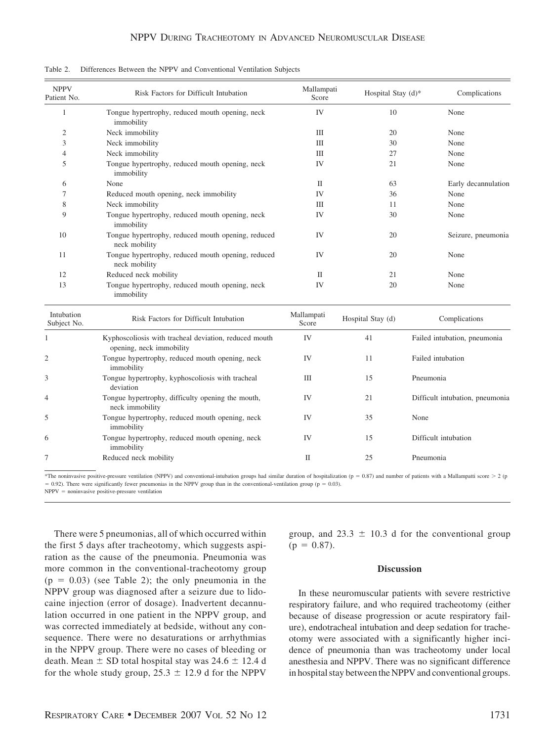| <b>NPPV</b><br>Patient No. | Risk Factors for Difficult Intubation                                             |                     | Mallampati<br>Hospital Stay (d)* | Complications                   |  |
|----------------------------|-----------------------------------------------------------------------------------|---------------------|----------------------------------|---------------------------------|--|
| $\mathbf{1}$               | Tongue hypertrophy, reduced mouth opening, neck<br>immobility                     | IV                  | 10                               | None                            |  |
| $\overline{2}$             | Neck immobility                                                                   | Ш                   | 20                               | None                            |  |
| 3                          | Neck immobility                                                                   | III                 | 30                               | None                            |  |
| $\overline{4}$             | Neck immobility                                                                   | III                 | 27                               | None                            |  |
| 5                          | Tongue hypertrophy, reduced mouth opening, neck<br>immobility                     | IV                  | 21                               | None                            |  |
| 6                          | None                                                                              | П                   | 63                               | Early decannulation             |  |
| 7                          | Reduced mouth opening, neck immobility                                            | IV                  | 36                               | None                            |  |
| 8                          | Neck immobility                                                                   | Ш                   | 11                               | None                            |  |
| 9                          | Tongue hypertrophy, reduced mouth opening, neck<br>immobility                     | IV                  | 30                               | None                            |  |
| 10                         | Tongue hypertrophy, reduced mouth opening, reduced<br>neck mobility               | IV                  | 20                               | Seizure, pneumonia              |  |
| 11                         | Tongue hypertrophy, reduced mouth opening, reduced<br>neck mobility               | IV                  | 20                               | None                            |  |
| 12                         | Reduced neck mobility                                                             | $\mathbf{I}$        | 21                               | None                            |  |
| 13                         | Tongue hypertrophy, reduced mouth opening, neck<br>immobility                     | IV                  | 20                               | None                            |  |
| Intubation<br>Subject No.  | Risk Factors for Difficult Intubation                                             | Mallampati<br>Score | Hospital Stay (d)                | Complications                   |  |
| $\mathbf{1}$               | Kyphoscoliosis with tracheal deviation, reduced mouth<br>opening, neck immobility | IV                  | 41                               | Failed intubation, pneumonia    |  |
| 2                          | Tongue hypertrophy, reduced mouth opening, neck<br>immobility                     | IV                  | 11                               | Failed intubation               |  |
| 3                          | Tongue hypertrophy, kyphoscoliosis with tracheal<br>deviation                     | Ш                   | 15                               | Pneumonia                       |  |
| 4                          | Tongue hypertrophy, difficulty opening the mouth,<br>neck immobility              | IV                  | 21                               | Difficult intubation, pneumonia |  |
| 5                          | Tongue hypertrophy, reduced mouth opening, neck<br>immobility                     | IV                  | 35                               | None                            |  |
| 6                          | Tongue hypertrophy, reduced mouth opening, neck<br>immobility                     | IV                  | 15                               | Difficult intubation            |  |
| 7                          | Reduced neck mobility                                                             | $\rm II$            | 25                               | Pneumonia                       |  |

Table 2. Differences Between the NPPV and Conventional Ventilation Subjects

\*The noninvasive positive-pressure ventilation (NPPV) and conventional-intubation groups had similar duration of hospitalization ( $p = 0.87$ ) and number of patients with a Mallampatti score  $> 2$  (p  $= 0.92$ ). There were significantly fewer pneumonias in the NPPV group than in the conventional-ventilation group ( $p = 0.03$ ). NPPV - noninvasive positive-pressure ventilation

There were 5 pneumonias, all of which occurred within the first 5 days after tracheotomy, which suggests aspiration as the cause of the pneumonia. Pneumonia was more common in the conventional-tracheotomy group  $(p = 0.03)$  (see Table 2); the only pneumonia in the NPPV group was diagnosed after a seizure due to lidocaine injection (error of dosage). Inadvertent decannulation occurred in one patient in the NPPV group, and was corrected immediately at bedside, without any consequence. There were no desaturations or arrhythmias in the NPPV group. There were no cases of bleeding or death. Mean  $\pm$  SD total hospital stay was 24.6  $\pm$  12.4 d for the whole study group,  $25.3 \pm 12.9$  d for the NPPV

group, and  $23.3 \pm 10.3$  d for the conventional group  $(p = 0.87)$ .

# **Discussion**

In these neuromuscular patients with severe restrictive respiratory failure, and who required tracheotomy (either because of disease progression or acute respiratory failure), endotracheal intubation and deep sedation for tracheotomy were associated with a significantly higher incidence of pneumonia than was tracheotomy under local anesthesia and NPPV. There was no significant difference in hospital stay between the NPPV and conventional groups.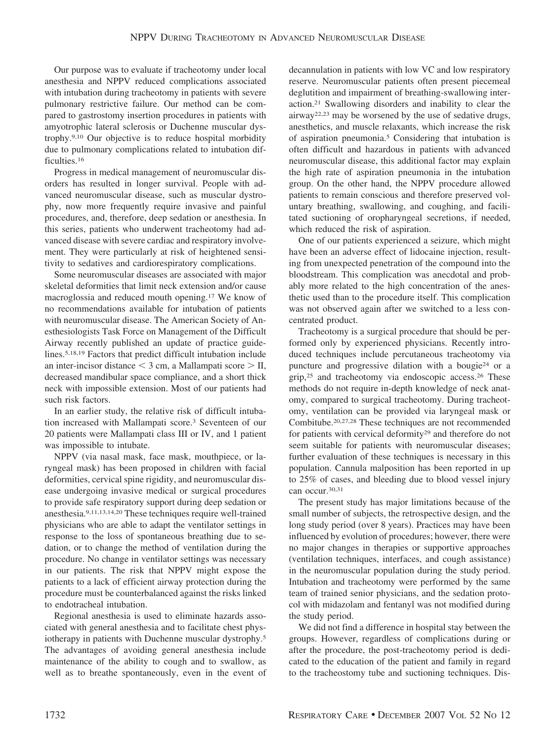Our purpose was to evaluate if tracheotomy under local anesthesia and NPPV reduced complications associated with intubation during tracheotomy in patients with severe pulmonary restrictive failure. Our method can be compared to gastrostomy insertion procedures in patients with amyotrophic lateral sclerosis or Duchenne muscular dystrophy.9,10 Our objective is to reduce hospital morbidity due to pulmonary complications related to intubation difficulties.16

Progress in medical management of neuromuscular disorders has resulted in longer survival. People with advanced neuromuscular disease, such as muscular dystrophy, now more frequently require invasive and painful procedures, and, therefore, deep sedation or anesthesia. In this series, patients who underwent tracheotomy had advanced disease with severe cardiac and respiratory involvement. They were particularly at risk of heightened sensitivity to sedatives and cardiorespiratory complications.

Some neuromuscular diseases are associated with major skeletal deformities that limit neck extension and/or cause macroglossia and reduced mouth opening.17 We know of no recommendations available for intubation of patients with neuromuscular disease. The American Society of Anesthesiologists Task Force on Management of the Difficult Airway recently published an update of practice guidelines.5,18,19 Factors that predict difficult intubation include an inter-incisor distance  $<$  3 cm, a Mallampati score  $>$  II, decreased mandibular space compliance, and a short thick neck with impossible extension. Most of our patients had such risk factors.

In an earlier study, the relative risk of difficult intubation increased with Mallampati score.3 Seventeen of our 20 patients were Mallampati class III or IV, and 1 patient was impossible to intubate.

NPPV (via nasal mask, face mask, mouthpiece, or laryngeal mask) has been proposed in children with facial deformities, cervical spine rigidity, and neuromuscular disease undergoing invasive medical or surgical procedures to provide safe respiratory support during deep sedation or anesthesia.9,11,13,14,20 These techniques require well-trained physicians who are able to adapt the ventilator settings in response to the loss of spontaneous breathing due to sedation, or to change the method of ventilation during the procedure. No change in ventilator settings was necessary in our patients. The risk that NPPV might expose the patients to a lack of efficient airway protection during the procedure must be counterbalanced against the risks linked to endotracheal intubation.

Regional anesthesia is used to eliminate hazards associated with general anesthesia and to facilitate chest physiotherapy in patients with Duchenne muscular dystrophy.5 The advantages of avoiding general anesthesia include maintenance of the ability to cough and to swallow, as well as to breathe spontaneously, even in the event of decannulation in patients with low VC and low respiratory reserve. Neuromuscular patients often present piecemeal deglutition and impairment of breathing-swallowing interaction.21 Swallowing disorders and inability to clear the airway22,23 may be worsened by the use of sedative drugs, anesthetics, and muscle relaxants, which increase the risk of aspiration pneumonia.5 Considering that intubation is often difficult and hazardous in patients with advanced neuromuscular disease, this additional factor may explain the high rate of aspiration pneumonia in the intubation group. On the other hand, the NPPV procedure allowed patients to remain conscious and therefore preserved voluntary breathing, swallowing, and coughing, and facilitated suctioning of oropharyngeal secretions, if needed, which reduced the risk of aspiration.

One of our patients experienced a seizure, which might have been an adverse effect of lidocaine injection, resulting from unexpected penetration of the compound into the bloodstream. This complication was anecdotal and probably more related to the high concentration of the anesthetic used than to the procedure itself. This complication was not observed again after we switched to a less concentrated product.

Tracheotomy is a surgical procedure that should be performed only by experienced physicians. Recently introduced techniques include percutaneous tracheotomy via puncture and progressive dilation with a bougie24 or a grip,25 and tracheotomy via endoscopic access.26 These methods do not require in-depth knowledge of neck anatomy, compared to surgical tracheotomy. During tracheotomy, ventilation can be provided via laryngeal mask or Combitube.20,27,28 These techniques are not recommended for patients with cervical deformity29 and therefore do not seem suitable for patients with neuromuscular diseases; further evaluation of these techniques is necessary in this population. Cannula malposition has been reported in up to 25% of cases, and bleeding due to blood vessel injury can occur.<sup>30,31</sup>

The present study has major limitations because of the small number of subjects, the retrospective design, and the long study period (over 8 years). Practices may have been influenced by evolution of procedures; however, there were no major changes in therapies or supportive approaches (ventilation techniques, interfaces, and cough assistance) in the neuromuscular population during the study period. Intubation and tracheotomy were performed by the same team of trained senior physicians, and the sedation protocol with midazolam and fentanyl was not modified during the study period.

We did not find a difference in hospital stay between the groups. However, regardless of complications during or after the procedure, the post-tracheotomy period is dedicated to the education of the patient and family in regard to the tracheostomy tube and suctioning techniques. Dis